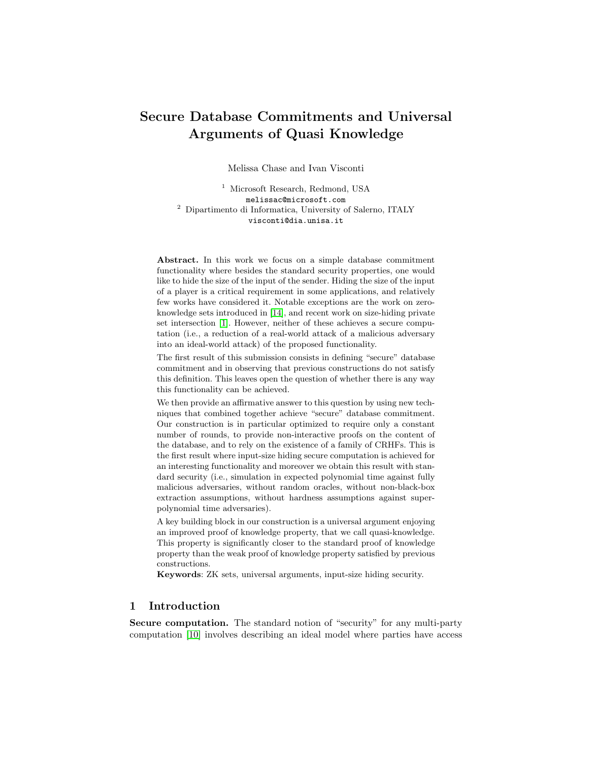# Secure Database Commitments and Universal Arguments of Quasi Knowledge

Melissa Chase and Ivan Visconti

<sup>1</sup> Microsoft Research, Redmond, USA melissac@microsoft.com <sup>2</sup> Dipartimento di Informatica, University of Salerno, ITALY visconti@dia.unisa.it

Abstract. In this work we focus on a simple database commitment functionality where besides the standard security properties, one would like to hide the size of the input of the sender. Hiding the size of the input of a player is a critical requirement in some applications, and relatively few works have considered it. Notable exceptions are the work on zeroknowledge sets introduced in [\[14\]](#page-17-0), and recent work on size-hiding private set intersection [\[1\]](#page-17-1). However, neither of these achieves a secure computation (i.e., a reduction of a real-world attack of a malicious adversary into an ideal-world attack) of the proposed functionality.

The first result of this submission consists in defining "secure" database commitment and in observing that previous constructions do not satisfy this definition. This leaves open the question of whether there is any way this functionality can be achieved.

We then provide an affirmative answer to this question by using new techniques that combined together achieve "secure" database commitment. Our construction is in particular optimized to require only a constant number of rounds, to provide non-interactive proofs on the content of the database, and to rely on the existence of a family of CRHFs. This is the first result where input-size hiding secure computation is achieved for an interesting functionality and moreover we obtain this result with standard security (i.e., simulation in expected polynomial time against fully malicious adversaries, without random oracles, without non-black-box extraction assumptions, without hardness assumptions against superpolynomial time adversaries).

A key building block in our construction is a universal argument enjoying an improved proof of knowledge property, that we call quasi-knowledge. This property is significantly closer to the standard proof of knowledge property than the weak proof of knowledge property satisfied by previous constructions.

Keywords: ZK sets, universal arguments, input-size hiding security.

## 1 Introduction

Secure computation. The standard notion of "security" for any multi-party computation [\[10\]](#page-17-2) involves describing an ideal model where parties have access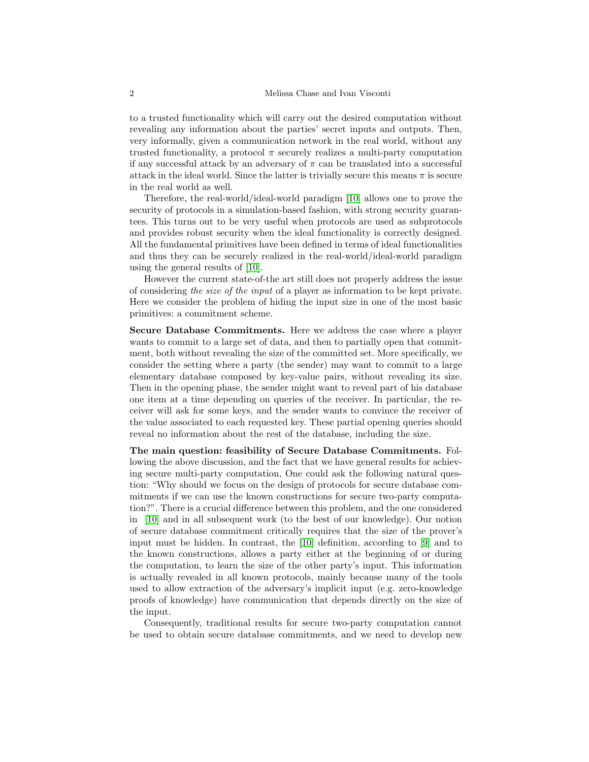to a trusted functionality which will carry out the desired computation without revealing any information about the parties' secret inputs and outputs. Then, very informally, given a communication network in the real world, without any trusted functionality, a protocol  $\pi$  securely realizes a multi-party computation if any successful attack by an adversary of  $\pi$  can be translated into a successful attack in the ideal world. Since the latter is trivially secure this means  $\pi$  is secure in the real world as well.

Therefore, the real-world/ideal-world paradigm [\[10\]](#page-17-2) allows one to prove the security of protocols in a simulation-based fashion, with strong security guarantees. This turns out to be very useful when protocols are used as subprotocols and provides robust security when the ideal functionality is correctly designed. All the fundamental primitives have been defined in terms of ideal functionalities and thus they can be securely realized in the real-world/ideal-world paradigm using the general results of [\[10\]](#page-17-2).

However the current state-of-the art still does not properly address the issue of considering the size of the input of a player as information to be kept private. Here we consider the problem of hiding the input size in one of the most basic primitives: a commitment scheme.

Secure Database Commitments. Here we address the case where a player wants to commit to a large set of data, and then to partially open that commitment, both without revealing the size of the committed set. More specifically, we consider the setting where a party (the sender) may want to commit to a large elementary database composed by key-value pairs, without revealing its size. Then in the opening phase, the sender might want to reveal part of his database one item at a time depending on queries of the receiver. In particular, the receiver will ask for some keys, and the sender wants to convince the receiver of the value associated to each requested key. These partial opening queries should reveal no information about the rest of the database, including the size.

The main question: feasibility of Secure Database Commitments. Following the above discussion, and the fact that we have general results for achieving secure multi-party computation, One could ask the following natural question: "Why should we focus on the design of protocols for secure database commitments if we can use the known constructions for secure two-party computation?". There is a crucial difference between this problem, and the one considered in [\[10\]](#page-17-2) and in all subsequent work (to the best of our knowledge). Our notion of secure database commitment critically requires that the size of the prover's input must be hidden. In contrast, the [\[10\]](#page-17-2) definition, according to [\[9\]](#page-17-3) and to the known constructions, allows a party either at the beginning of or during the computation, to learn the size of the other party's input. This information is actually revealed in all known protocols, mainly because many of the tools used to allow extraction of the adversary's implicit input (e.g. zero-knowledge proofs of knowledge) have communication that depends directly on the size of the input.

Consequently, traditional results for secure two-party computation cannot be used to obtain secure database commitments, and we need to develop new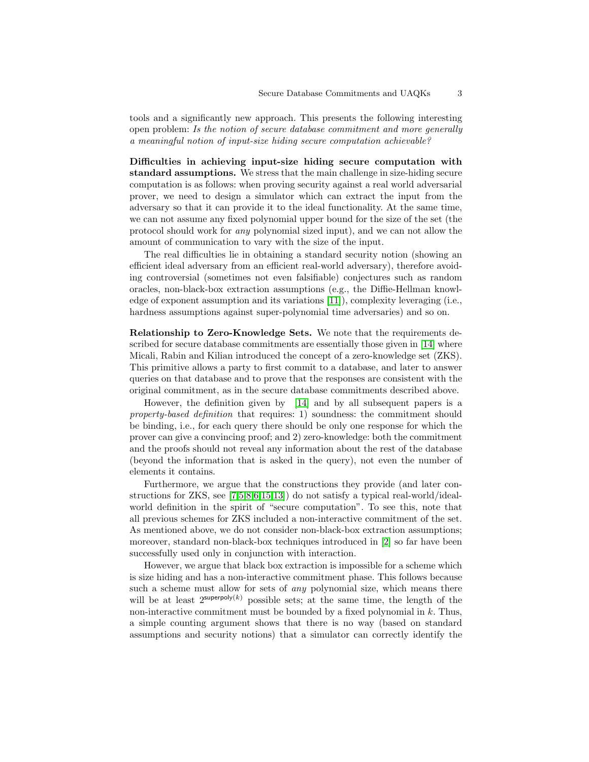tools and a significantly new approach. This presents the following interesting open problem: Is the notion of secure database commitment and more generally a meaningful notion of input-size hiding secure computation achievable?

Difficulties in achieving input-size hiding secure computation with standard assumptions. We stress that the main challenge in size-hiding secure computation is as follows: when proving security against a real world adversarial prover, we need to design a simulator which can extract the input from the adversary so that it can provide it to the ideal functionality. At the same time, we can not assume any fixed polynomial upper bound for the size of the set (the protocol should work for any polynomial sized input), and we can not allow the amount of communication to vary with the size of the input.

The real difficulties lie in obtaining a standard security notion (showing an efficient ideal adversary from an efficient real-world adversary), therefore avoiding controversial (sometimes not even falsifiable) conjectures such as random oracles, non-black-box extraction assumptions (e.g., the Diffie-Hellman knowledge of exponent assumption and its variations [\[11\]](#page-17-4)), complexity leveraging (i.e., hardness assumptions against super-polynomial time adversaries) and so on.

Relationship to Zero-Knowledge Sets. We note that the requirements described for secure database commitments are essentially those given in [\[14\]](#page-17-0) where Micali, Rabin and Kilian introduced the concept of a zero-knowledge set (ZKS). This primitive allows a party to first commit to a database, and later to answer queries on that database and to prove that the responses are consistent with the original commitment, as in the secure database commitments described above.

However, the definition given by [\[14\]](#page-17-0) and by all subsequent papers is a property-based definition that requires: 1) soundness: the commitment should be binding, i.e., for each query there should be only one response for which the prover can give a convincing proof; and 2) zero-knowledge: both the commitment and the proofs should not reveal any information about the rest of the database (beyond the information that is asked in the query), not even the number of elements it contains.

Furthermore, we argue that the constructions they provide (and later constructions for ZKS, see [\[7,](#page-17-5)[5](#page-17-6)[,8,](#page-17-7)[6,](#page-17-8)[15,](#page-17-9)[13\]](#page-17-10)) do not satisfy a typical real-world/idealworld definition in the spirit of "secure computation". To see this, note that all previous schemes for ZKS included a non-interactive commitment of the set. As mentioned above, we do not consider non-black-box extraction assumptions; moreover, standard non-black-box techniques introduced in [\[2\]](#page-17-11) so far have been successfully used only in conjunction with interaction.

However, we argue that black box extraction is impossible for a scheme which is size hiding and has a non-interactive commitment phase. This follows because such a scheme must allow for sets of *any* polynomial size, which means there will be at least  $2^{superpoly(k)}$  possible sets; at the same time, the length of the non-interactive commitment must be bounded by a fixed polynomial in  $k$ . Thus, a simple counting argument shows that there is no way (based on standard assumptions and security notions) that a simulator can correctly identify the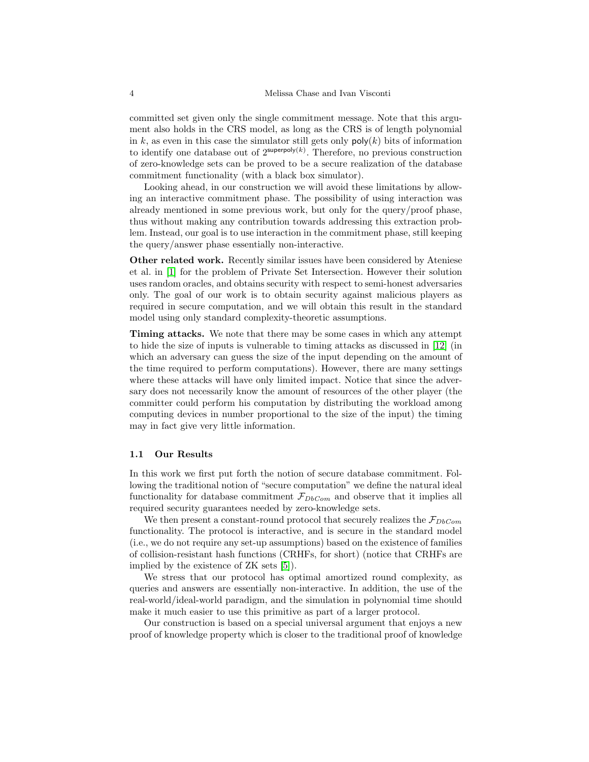committed set given only the single commitment message. Note that this argument also holds in the CRS model, as long as the CRS is of length polynomial in k, as even in this case the simulator still gets only  $\mathsf{poly}(k)$  bits of information to identify one database out of  $2^{\text{superpoly}(k)}$ . Therefore, no previous construction of zero-knowledge sets can be proved to be a secure realization of the database commitment functionality (with a black box simulator).

Looking ahead, in our construction we will avoid these limitations by allowing an interactive commitment phase. The possibility of using interaction was already mentioned in some previous work, but only for the query/proof phase, thus without making any contribution towards addressing this extraction problem. Instead, our goal is to use interaction in the commitment phase, still keeping the query/answer phase essentially non-interactive.

Other related work. Recently similar issues have been considered by Ateniese et al. in [\[1\]](#page-17-1) for the problem of Private Set Intersection. However their solution uses random oracles, and obtains security with respect to semi-honest adversaries only. The goal of our work is to obtain security against malicious players as required in secure computation, and we will obtain this result in the standard model using only standard complexity-theoretic assumptions.

Timing attacks. We note that there may be some cases in which any attempt to hide the size of inputs is vulnerable to timing attacks as discussed in [\[12\]](#page-17-12) (in which an adversary can guess the size of the input depending on the amount of the time required to perform computations). However, there are many settings where these attacks will have only limited impact. Notice that since the adversary does not necessarily know the amount of resources of the other player (the committer could perform his computation by distributing the workload among computing devices in number proportional to the size of the input) the timing may in fact give very little information.

#### 1.1 Our Results

In this work we first put forth the notion of secure database commitment. Following the traditional notion of "secure computation" we define the natural ideal functionality for database commitment  $\mathcal{F}_{DbCom}$  and observe that it implies all required security guarantees needed by zero-knowledge sets.

We then present a constant-round protocol that securely realizes the  $\mathcal{F}_{DbCom}$ functionality. The protocol is interactive, and is secure in the standard model (i.e., we do not require any set-up assumptions) based on the existence of families of collision-resistant hash functions (CRHFs, for short) (notice that CRHFs are implied by the existence of ZK sets [\[5\]](#page-17-6)).

We stress that our protocol has optimal amortized round complexity, as queries and answers are essentially non-interactive. In addition, the use of the real-world/ideal-world paradigm, and the simulation in polynomial time should make it much easier to use this primitive as part of a larger protocol.

Our construction is based on a special universal argument that enjoys a new proof of knowledge property which is closer to the traditional proof of knowledge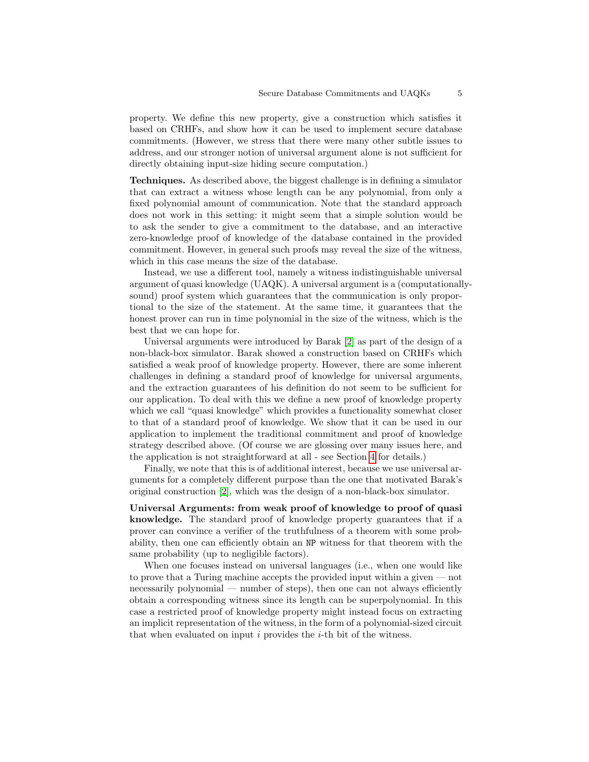property. We define this new property, give a construction which satisfies it based on CRHFs, and show how it can be used to implement secure database commitments. (However, we stress that there were many other subtle issues to address, and our stronger notion of universal argument alone is not sufficient for directly obtaining input-size hiding secure computation.)

Techniques. As described above, the biggest challenge is in defining a simulator that can extract a witness whose length can be any polynomial, from only a fixed polynomial amount of communication. Note that the standard approach does not work in this setting: it might seem that a simple solution would be to ask the sender to give a commitment to the database, and an interactive zero-knowledge proof of knowledge of the database contained in the provided commitment. However, in general such proofs may reveal the size of the witness, which in this case means the size of the database.

Instead, we use a different tool, namely a witness indistinguishable universal argument of quasi knowledge (UAQK). A universal argument is a (computationallysound) proof system which guarantees that the communication is only proportional to the size of the statement. At the same time, it guarantees that the honest prover can run in time polynomial in the size of the witness, which is the best that we can hope for.

Universal arguments were introduced by Barak [\[2\]](#page-17-11) as part of the design of a non-black-box simulator. Barak showed a construction based on CRHFs which satisfied a weak proof of knowledge property. However, there are some inherent challenges in defining a standard proof of knowledge for universal arguments, and the extraction guarantees of his definition do not seem to be sufficient for our application. To deal with this we define a new proof of knowledge property which we call "quasi knowledge" which provides a functionality somewhat closer to that of a standard proof of knowledge. We show that it can be used in our application to implement the traditional commitment and proof of knowledge strategy described above. (Of course we are glossing over many issues here, and the application is not straightforward at all - see Section [4](#page-12-0) for details.)

Finally, we note that this is of additional interest, because we use universal arguments for a completely different purpose than the one that motivated Barak's original construction [\[2\]](#page-17-11), which was the design of a non-black-box simulator.

<span id="page-4-0"></span>Universal Arguments: from weak proof of knowledge to proof of quasi knowledge. The standard proof of knowledge property guarantees that if a prover can convince a verifier of the truthfulness of a theorem with some probability, then one can efficiently obtain an NP witness for that theorem with the same probability (up to negligible factors).

When one focuses instead on universal languages (i.e., when one would like to prove that a Turing machine accepts the provided input within a given — not necessarily polynomial — number of steps), then one can not always efficiently obtain a corresponding witness since its length can be superpolynomial. In this case a restricted proof of knowledge property might instead focus on extracting an implicit representation of the witness, in the form of a polynomial-sized circuit that when evaluated on input  $i$  provides the  $i$ -th bit of the witness.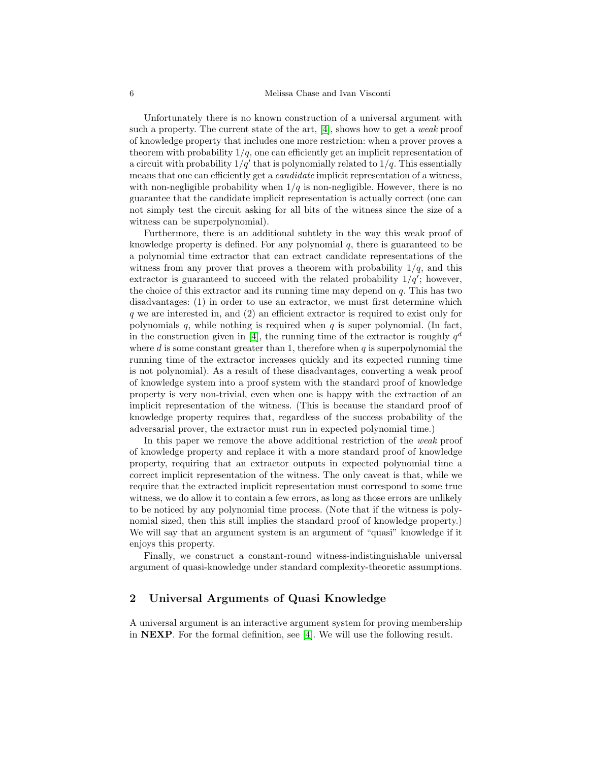Unfortunately there is no known construction of a universal argument with such a property. The current state of the art,  $[4]$ , shows how to get a *weak* proof of knowledge property that includes one more restriction: when a prover proves a theorem with probability  $1/q$ , one can efficiently get an implicit representation of a circuit with probability  $1/q'$  that is polynomially related to  $1/q$ . This essentially means that one can efficiently get a *candidate* implicit representation of a witness, with non-negligible probability when  $1/q$  is non-negligible. However, there is no guarantee that the candidate implicit representation is actually correct (one can not simply test the circuit asking for all bits of the witness since the size of a witness can be superpolynomial).

Furthermore, there is an additional subtlety in the way this weak proof of knowledge property is defined. For any polynomial  $q$ , there is guaranteed to be a polynomial time extractor that can extract candidate representations of the witness from any prover that proves a theorem with probability  $1/q$ , and this extractor is guaranteed to succeed with the related probability  $1/q'$ ; however, the choice of this extractor and its running time may depend on  $q$ . This has two disadvantages: (1) in order to use an extractor, we must first determine which q we are interested in, and (2) an efficient extractor is required to exist only for polynomials q, while nothing is required when q is super polynomial. (In fact, in the construction given in [\[4\]](#page-17-13), the running time of the extractor is roughly  $q^d$ where  $d$  is some constant greater than 1, therefore when  $q$  is superpolynomial the running time of the extractor increases quickly and its expected running time is not polynomial). As a result of these disadvantages, converting a weak proof of knowledge system into a proof system with the standard proof of knowledge property is very non-trivial, even when one is happy with the extraction of an implicit representation of the witness. (This is because the standard proof of knowledge property requires that, regardless of the success probability of the adversarial prover, the extractor must run in expected polynomial time.)

In this paper we remove the above additional restriction of the weak proof of knowledge property and replace it with a more standard proof of knowledge property, requiring that an extractor outputs in expected polynomial time a correct implicit representation of the witness. The only caveat is that, while we require that the extracted implicit representation must correspond to some true witness, we do allow it to contain a few errors, as long as those errors are unlikely to be noticed by any polynomial time process. (Note that if the witness is polynomial sized, then this still implies the standard proof of knowledge property.) We will say that an argument system is an argument of "quasi" knowledge if it enjoys this property.

Finally, we construct a constant-round witness-indistinguishable universal argument of quasi-knowledge under standard complexity-theoretic assumptions.

## 2 Universal Arguments of Quasi Knowledge

<span id="page-5-0"></span>A universal argument is an interactive argument system for proving membership in NEXP. For the formal definition, see [\[4\]](#page-17-13). We will use the following result.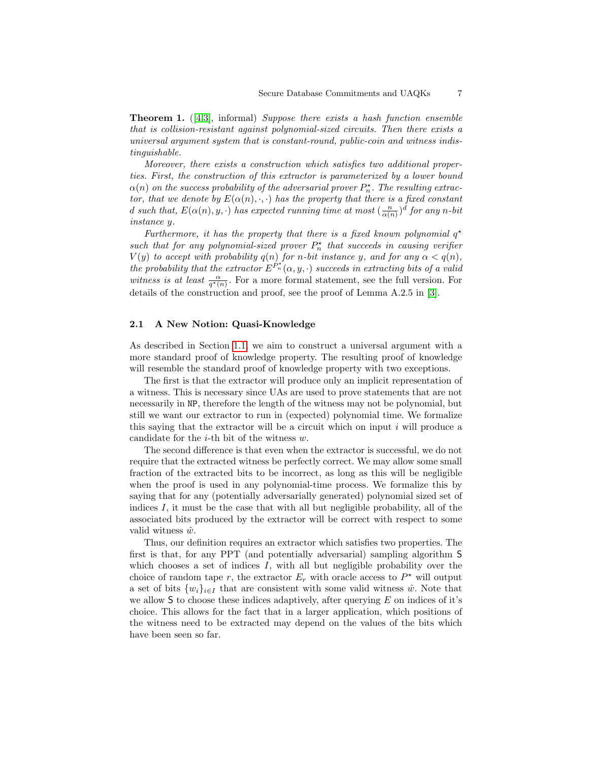**Theorem 1.** ([\[4,](#page-17-13)[3\]](#page-17-14), informal) Suppose there exists a hash function ensemble that is collision-resistant against polynomial-sized circuits. Then there exists a universal argument system that is constant-round, public-coin and witness indistinguishable.

Moreover, there exists a construction which satisfies two additional properties. First, the construction of this extractor is parameterized by a lower bound  $\alpha(n)$  on the success probability of the adversarial prover  $P_n^\star$ . The resulting extractor, that we denote by  $E(\alpha(n), \cdot, \cdot)$  has the property that there is a fixed constant d such that,  $E(\alpha(n), y, \cdot)$  has expected running time at most  $(\frac{n}{\alpha(n)})^d$  for any n-bit instance y.

Furthermore, it has the property that there is a fixed known polynomial  $q^*$ such that for any polynomial-sized prover  $P_n^*$  that succeeds in causing verifier  $V(y)$  to accept with probability  $q(n)$  for n-bit instance y, and for any  $\alpha < q(n)$ , the probability that the extractor  $E^{\hat{P}^*_{n}}(\alpha, y, \cdot)$  succeeds in extracting bits of a valid witness is at least  $\frac{\alpha}{q^*(n)}$ . For a more formal statement, see the full version. For details of the construction and proof, see the proof of Lemma A.2.5 in [\[3\]](#page-17-14).

#### 2.1 A New Notion: Quasi-Knowledge

As described in Section [1.1,](#page-4-0) we aim to construct a universal argument with a more standard proof of knowledge property. The resulting proof of knowledge will resemble the standard proof of knowledge property with two exceptions.

The first is that the extractor will produce only an implicit representation of a witness. This is necessary since UAs are used to prove statements that are not necessarily in NP, therefore the length of the witness may not be polynomial, but still we want our extractor to run in (expected) polynomial time. We formalize this saying that the extractor will be a circuit which on input  $i$  will produce a candidate for the  $i$ -th bit of the witness  $w$ .

The second difference is that even when the extractor is successful, we do not require that the extracted witness be perfectly correct. We may allow some small fraction of the extracted bits to be incorrect, as long as this will be negligible when the proof is used in any polynomial-time process. We formalize this by saying that for any (potentially adversarially generated) polynomial sized set of indices I, it must be the case that with all but negligible probability, all of the associated bits produced by the extractor will be correct with respect to some valid witness  $\hat{w}$ .

Thus, our definition requires an extractor which satisfies two properties. The first is that, for any PPT (and potentially adversarial) sampling algorithm S which chooses a set of indices  $I$ , with all but negligible probability over the choice of random tape r, the extractor  $E_r$  with oracle access to  $P^*$  will output a set of bits  $\{w_i\}_{i\in I}$  that are consistent with some valid witness  $\hat{w}$ . Note that we allow  $S$  to choose these indices adaptively, after querying  $E$  on indices of it's choice. This allows for the fact that in a larger application, which positions of the witness need to be extracted may depend on the values of the bits which have been seen so far.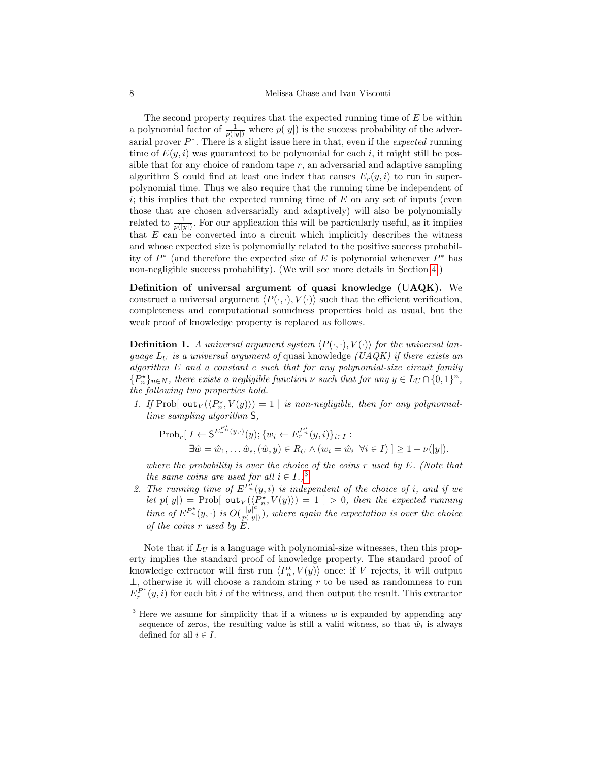The second property requires that the expected running time of  $E$  be within a polynomial factor of  $\frac{1}{p(|y|)}$  where  $p(|y|)$  is the success probability of the adversarial prover  $P^*$ . There is a slight issue here in that, even if the *expected* running time of  $E(y, i)$  was guaranteed to be polynomial for each i, it might still be possible that for any choice of random tape  $r$ , an adversarial and adaptive sampling algorithm S could find at least one index that causes  $E_r(y, i)$  to run in superpolynomial time. Thus we also require that the running time be independent of  $i$ ; this implies that the expected running time of  $E$  on any set of inputs (even those that are chosen adversarially and adaptively) will also be polynomially related to  $\frac{1}{p(|y|)}$ . For our application this will be particularly useful, as it implies that  $E$  can be converted into a circuit which implicitly describes the witness and whose expected size is polynomially related to the positive success probability of  $P^*$  (and therefore the expected size of E is polynomial whenever  $P^*$  has non-negligible success probability). (We will see more details in Section [4.](#page-12-0))

Definition of universal argument of quasi knowledge (UAQK). We construct a universal argument  $\langle P(\cdot, \cdot), V(\cdot) \rangle$  such that the efficient verification, completeness and computational soundness properties hold as usual, but the weak proof of knowledge property is replaced as follows.

**Definition 1.** A universal argument system  $\langle P(\cdot, \cdot), V(\cdot) \rangle$  for the universal language  $L_U$  is a universal argument of quasi knowledge (UAQK) if there exists an algorithm E and a constant c such that for any polynomial-size circuit family  ${P_n^*}_{n \in N}$ , there exists a negligible function  $\nu$  such that for any  $y \in L_U \cap \{0,1\}^n$ , the following two properties hold.

1. If Prob[  $\text{out}_V(\langle P^*_n, V(y) \rangle) = 1$  ] is non-negligible, then for any polynomialtime sampling algorithm S,

$$
\text{Prob}_r[\ I \leftarrow \mathsf{S}^{E_r^{P_n^{\star}}(y,\cdot)}(y); \{w_i \leftarrow E_r^{P_n^{\star}}(y,i)\}_{i \in I} : \exists \hat{w} = \hat{w}_1, \dots \hat{w}_s, (\hat{w}, y) \in R_U \land (w_i = \hat{w}_i \ \forall i \in I) \ ] \geq 1 - \nu(|y|).
$$

where the probability is over the choice of the coins  $r$  used by  $E$ . (Note that the same coins are used for all  $i \in I$ .)<sup>[3](#page-7-0)</sup>

2. The running time of  $E^{P^{\star}_{n}}(y, i)$  is independent of the choice of i, and if we let  $p(|y|) = \text{Prob}[\text{out}_V(\langle P_n^*, V(y) \rangle) = 1] > 0$ , then the expected running time of  $E^{P^{\star}_{n}}(y, \cdot)$  is  $O(\frac{|y|^{c}}{n!)^{d}}$  $\frac{y}{p(|y|)}$ ), where again the expectation is over the choice of the coins r used by  $\hat{E}$ .

Note that if  $L_U$  is a language with polynomial-size witnesses, then this property implies the standard proof of knowledge property. The standard proof of knowledge extractor will first run  $\langle P_n^{\star}, V(y) \rangle$  once: if V rejects, it will output ⊥, otherwise it will choose a random string  $r$  to be used as randomness to run  $E_r^{P^*}(y, i)$  for each bit i of the witness, and then output the result. This extractor

<span id="page-7-0"></span> $3$  Here we assume for simplicity that if a witness  $w$  is expanded by appending any sequence of zeros, the resulting value is still a valid witness, so that  $\hat{w}_i$  is always defined for all  $i \in I$ .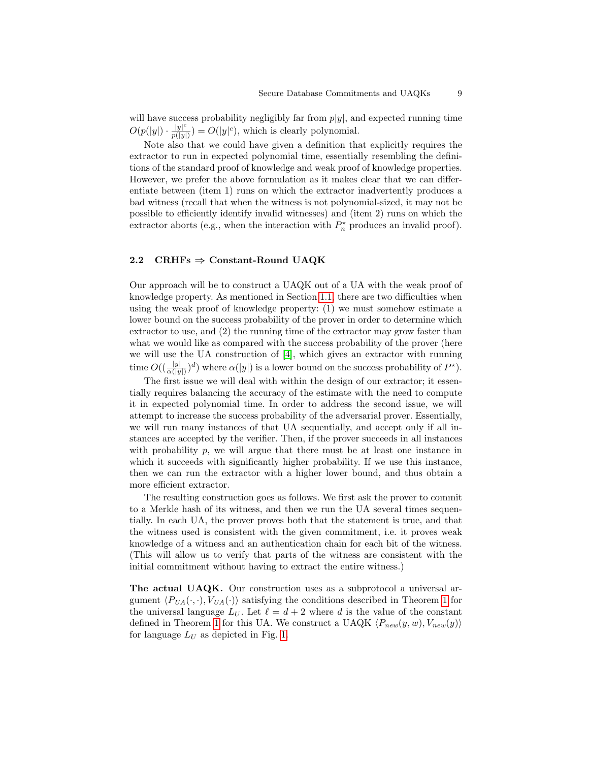will have success probability negligibly far from  $p|y|$ , and expected running time  $O(p(|y|) \cdot \frac{|y|^c}{p(|y|)}$  $\frac{|y|^c}{p(|y|)}$ ) =  $O(|y|^c)$ , which is clearly polynomial.

Note also that we could have given a definition that explicitly requires the extractor to run in expected polynomial time, essentially resembling the definitions of the standard proof of knowledge and weak proof of knowledge properties. However, we prefer the above formulation as it makes clear that we can differentiate between (item 1) runs on which the extractor inadvertently produces a bad witness (recall that when the witness is not polynomial-sized, it may not be possible to efficiently identify invalid witnesses) and (item 2) runs on which the extractor aborts (e.g., when the interaction with  $P_n^*$  produces an invalid proof).

#### 2.2 CRHFs  $\Rightarrow$  Constant-Round UAQK

Our approach will be to construct a UAQK out of a UA with the weak proof of knowledge property. As mentioned in Section [1.1,](#page-4-0) there are two difficulties when using the weak proof of knowledge property: (1) we must somehow estimate a lower bound on the success probability of the prover in order to determine which extractor to use, and (2) the running time of the extractor may grow faster than what we would like as compared with the success probability of the prover (here we will use the UA construction of [\[4\]](#page-17-13), which gives an extractor with running time  $O((\frac{|y|}{\alpha(|y|)})^d)$  where  $\alpha(|y|)$  is a lower bound on the success probability of  $P^*$ ).

The first issue we will deal with within the design of our extractor; it essentially requires balancing the accuracy of the estimate with the need to compute it in expected polynomial time. In order to address the second issue, we will attempt to increase the success probability of the adversarial prover. Essentially, we will run many instances of that UA sequentially, and accept only if all instances are accepted by the verifier. Then, if the prover succeeds in all instances with probability  $p$ , we will argue that there must be at least one instance in which it succeeds with significantly higher probability. If we use this instance, then we can run the extractor with a higher lower bound, and thus obtain a more efficient extractor.

The resulting construction goes as follows. We first ask the prover to commit to a Merkle hash of its witness, and then we run the UA several times sequentially. In each UA, the prover proves both that the statement is true, and that the witness used is consistent with the given commitment, i.e. it proves weak knowledge of a witness and an authentication chain for each bit of the witness. (This will allow us to verify that parts of the witness are consistent with the initial commitment without having to extract the entire witness.)

The actual UAQK. Our construction uses as a subprotocol a universal argument  $\langle P_{UA}(\cdot, \cdot), V_{UA}(\cdot) \rangle$  satisfying the conditions described in Theorem [1](#page-5-0) for the universal language  $L_U$ . Let  $\ell = d + 2$  where d is the value of the constant defined in Theorem [1](#page-5-0) for this UA. We construct a UAQK  $\langle P_{new}(y, w), V_{new}(y) \rangle$ for language  $L_U$  as depicted in Fig. [1.](#page-9-0)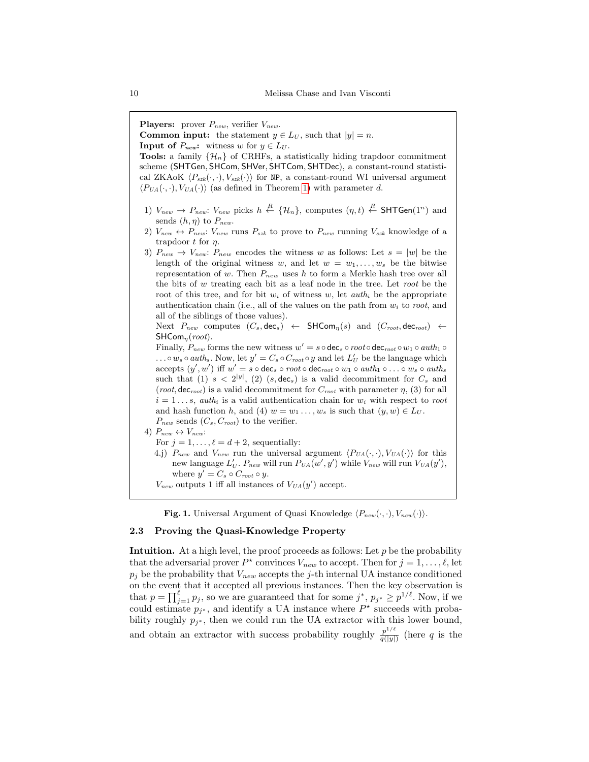**Players:** prover  $P_{new}$ , verifier  $V_{new}$ .

**Common input:** the statement  $y \in L_U$ , such that  $|y| = n$ .

**Input of**  $P_{new}$ **:** witness w for  $y \in L_U$ .

**Tools:** a family  $\{\mathcal{H}_n\}$  of CRHFs, a statistically hiding trapdoor commitment scheme (SHTGen, SHCom, SHVer, SHTCom, SHTDec), a constant-round statistical ZKAoK  $\langle P_{szk}(\cdot, \cdot), V_{szk}(\cdot)\rangle$  for NP, a constant-round WI universal argument  $\langle P_{UA}(\cdot, \cdot), V_{UA}(\cdot) \rangle$  (as defined in Theorem [1\)](#page-5-0) with parameter d.

- 1)  $V_{new} \rightarrow P_{new}$ :  $V_{new}$  picks  $h \stackrel{R}{\leftarrow} {\{\mathcal{H}_n\}}$ , computes  $(\eta, t) \stackrel{R}{\leftarrow}$  SHTGen $(1^n)$  and sends  $(h, \eta)$  to  $P_{new}$ .
- 2)  $V_{new} \leftrightarrow P_{new}$ :  $V_{new}$  runs  $P_{szk}$  to prove to  $P_{new}$  running  $V_{szk}$  knowledge of a trapdoor  $t$  for  $\eta$ .
- 3)  $P_{new} \rightarrow V_{new}$ :  $P_{new}$  encodes the witness w as follows: Let  $s = |w|$  be the length of the original witness w, and let  $w = w_1, \ldots, w_s$  be the bitwise representation of w. Then  $P_{new}$  uses h to form a Merkle hash tree over all the bits of w treating each bit as a leaf node in the tree. Let root be the root of this tree, and for bit  $w_i$  of witness w, let *auth<sub>i</sub>* be the appropriate authentication chain (i.e., all of the values on the path from  $w_i$  to root, and all of the siblings of those values).

Next  $P_{new}$  computes  $(C_s, \text{dec}_s) \leftarrow \text{SHCom}_{\eta}(s)$  and  $(C_{root}, \text{dec}_{root}) \leftarrow$  $SHCom<sub>n</sub>(root).$ 

Finally,  $P_{new}$  forms the new witness  $w' = s \circ \mathsf{dec}_s \circ root \circ \mathsf{dec}_{root} \circ w_1 \circ auth_1 \circ w$ ...  $\circ w_s \circ \textit{auth}_s$ . Now, let  $y' = C_s \circ C_{\textit{root}} \circ y$  and let  $L'_U$  be the language which  $accepts(y', w')$  iff  $w' = s \circ \text{dec}_s \circ root \circ \text{dec}_{root} \circ w_1 \circ auth_1 \circ \ldots \circ w_s \circ auth_s$ such that (1)  $s < 2^{|y|}$ , (2) (s, dec<sub>s</sub>) is a valid decommitment for  $C_s$  and (root,  $\text{dec}_{root}$ ) is a valid decommitment for  $C_{root}$  with parameter  $\eta$ , (3) for all  $i = 1...s$ , auth<sub>i</sub> is a valid authentication chain for  $w_i$  with respect to root and hash function h, and (4)  $w = w_1 \dots, w_s$  is such that  $(y, w) \in L_U$ .  $P_{new}$  sends  $(C_s, C_{root})$  to the verifier.

4)  $P_{new} \leftrightarrow V_{new}$ :

For  $j = 1, \ldots, \ell = d + 2$ , sequentially:

- 4.j)  $P_{new}$  and  $V_{new}$  run the universal argument  $\langle P_{UA}(\cdot, \cdot), V_{UA}(\cdot) \rangle$  for this new language  $L'_U$ .  $P_{new}$  will run  $P_{UA}(w', y')$  while  $V_{new}$  will run  $V_{UA}(y')$ , where  $y' = C_s \circ C_{root} \circ y$ .
- $V_{new}$  outputs 1 iff all instances of  $V_{UA}(y')$  accept.

<span id="page-9-0"></span>**Fig. 1.** Universal Argument of Quasi Knowledge  $\langle P_{new}(\cdot, \cdot), V_{new}(\cdot)\rangle$ .

### 2.3 Proving the Quasi-Knowledge Property

Intuition. At a high level, the proof proceeds as follows: Let  $p$  be the probability that the adversarial prover  $P^*$  convinces  $V_{new}$  to accept. Then for  $j = 1, \ldots, \ell$ , let  $p_j$  be the probability that  $V_{new}$  accepts the j-th internal UA instance conditioned on the event that it accepted all previous instances. Then the key observation is that  $p = \prod_{j=1}^{\ell} p_j$ , so we are guaranteed that for some  $j^*, p_{j^*} \geq p^{1/\ell}$ . Now, if we could estimate  $p_{j^*}$ , and identify a UA instance where  $P^*$  succeeds with probability roughly  $p_{j^*}$ , then we could run the UA extractor with this lower bound, and obtain an extractor with success probability roughly  $\frac{p^{1/\ell}}{q(|y|)}$  $\frac{p^{2}}{q(|y|)}$  (here q is the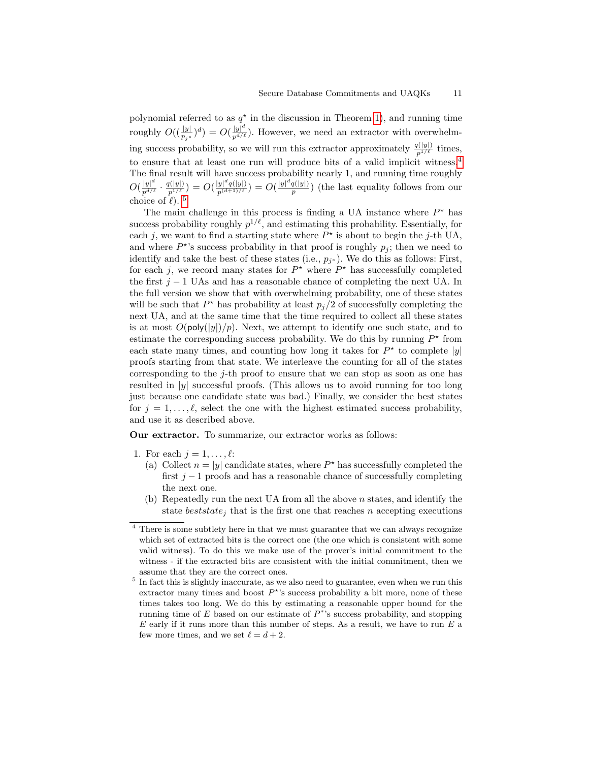polynomial referred to as  $q^*$  in the discussion in Theorem [1\)](#page-5-0), and running time roughly  $O((\frac{|y|}{p_{j^*}})^d) = O(\frac{|y|^d}{p^{d/\ell}})$ . However, we need an extractor with overwhelming success probability, so we will run this extractor approximately  $\frac{q(|y|)}{p^{1/\ell}}$  times, to ensure that at least one run will produce bits of a valid implicit witness.[4](#page-10-0) The final result will have success probability nearly 1, and running time roughly  $O(\frac{|y|^d}{p^{d/\ell}} \cdot \frac{q(|y|)}{p^{1/\ell}}) = O(\frac{|y|^dq(|y|)}{p^{(d+1)/\ell}}) = O(\frac{|y|^dq(|y|)}{p})$  $\frac{q(|y|)}{p}$  (the last equality follows from our choice of  $\ell$ ). <sup>[5](#page-10-1)</sup>

The main challenge in this process is finding a UA instance where  $P^*$  has success probability roughly  $p^{1/\ell}$ , and estimating this probability. Essentially, for each j, we want to find a starting state where  $P^*$  is about to begin the j-th UA, and where  $P^{\star}$ 's success probability in that proof is roughly  $p_j$ ; then we need to identify and take the best of these states (i.e.,  $p_{j*}$ ). We do this as follows: First, for each j, we record many states for  $P^*$  where  $P^*$  has successfully completed the first  $j - 1$  UAs and has a reasonable chance of completing the next UA. In the full version we show that with overwhelming probability, one of these states will be such that  $P^*$  has probability at least  $p_j/2$  of successfully completing the next UA, and at the same time that the time required to collect all these states is at most  $O(\text{poly}(|y|)/p)$ . Next, we attempt to identify one such state, and to estimate the corresponding success probability. We do this by running  $P^*$  from each state many times, and counting how long it takes for  $P^*$  to complete |y| proofs starting from that state. We interleave the counting for all of the states corresponding to the j-th proof to ensure that we can stop as soon as one has resulted in  $|y|$  successful proofs. (This allows us to avoid running for too long just because one candidate state was bad.) Finally, we consider the best states for  $j = 1, \ldots, \ell$ , select the one with the highest estimated success probability, and use it as described above.

Our extractor. To summarize, our extractor works as follows:

- 1. For each  $j = 1, \ldots, \ell$ :
	- (a) Collect  $n = |y|$  candidate states, where  $P^*$  has successfully completed the first  $j-1$  proofs and has a reasonable chance of successfully completing the next one.
	- (b) Repeatedly run the next UA from all the above  $n$  states, and identify the state beststate, that is the first one that reaches n accepting executions

<span id="page-10-0"></span> $^4$  There is some subtlety here in that we must guarantee that we can always recognize which set of extracted bits is the correct one (the one which is consistent with some valid witness). To do this we make use of the prover's initial commitment to the witness - if the extracted bits are consistent with the initial commitment, then we assume that they are the correct ones.

<span id="page-10-1"></span><sup>&</sup>lt;sup>5</sup> In fact this is slightly inaccurate, as we also need to guarantee, even when we run this extractor many times and boost  $P^*$ 's success probability a bit more, none of these times takes too long. We do this by estimating a reasonable upper bound for the running time of  $E$  based on our estimate of  $P^*$ 's success probability, and stopping  $E$  early if it runs more than this number of steps. As a result, we have to run  $E$  a few more times, and we set  $\ell = d + 2$ .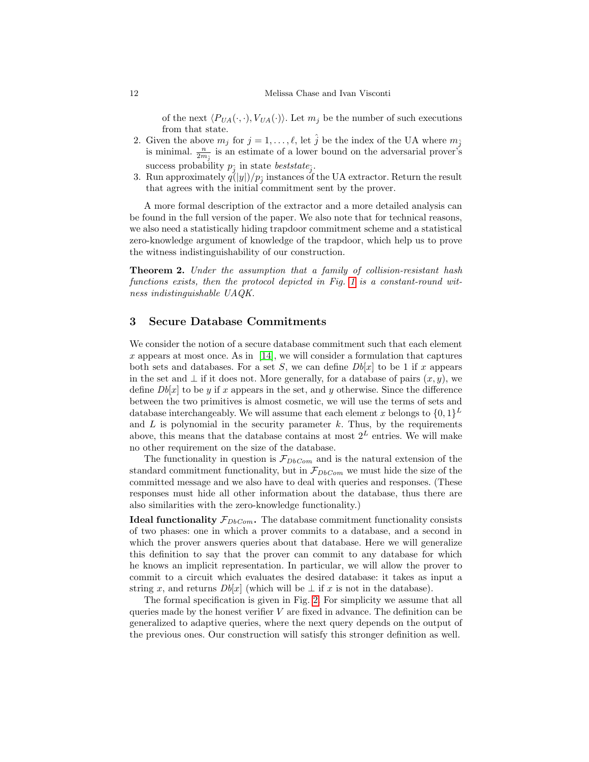of the next  $\langle P_{UA}(\cdot, \cdot), V_{UA}(\cdot)\rangle$ . Let  $m_j$  be the number of such executions from that state.

- 2. Given the above  $m_j$  for  $j = 1, ..., \ell$ , let  $\hat{j}$  be the index of the UA where  $m_{\hat{j}}$ is minimal.  $\frac{n}{2m_j}$  is an estimate of a lower bound on the adversarial prover's success probability  $p_{\hat{j}}$  in state beststate<sub>j</sub>.
- 3. Run approximately  $q(|y|)/p_{\hat{j}}$  instances of the UA extractor. Return the result that agrees with the initial commitment sent by the prover.

A more formal description of the extractor and a more detailed analysis can be found in the full version of the paper. We also note that for technical reasons, we also need a statistically hiding trapdoor commitment scheme and a statistical zero-knowledge argument of knowledge of the trapdoor, which help us to prove the witness indistinguishability of our construction.

Theorem 2. Under the assumption that a family of collision-resistant hash functions exists, then the protocol depicted in Fig. [1](#page-9-0) is a constant-round witness indistinguishable UAQK.

## 3 Secure Database Commitments

We consider the notion of a secure database commitment such that each element x appears at most once. As in [\[14\]](#page-17-0), we will consider a formulation that captures both sets and databases. For a set S, we can define  $Db[x]$  to be 1 if x appears in the set and  $\bot$  if it does not. More generally, for a database of pairs  $(x, y)$ , we define  $Db[x]$  to be y if x appears in the set, and y otherwise. Since the difference between the two primitives is almost cosmetic, we will use the terms of sets and database interchangeably. We will assume that each element x belongs to  $\{0,1\}^L$ and  $L$  is polynomial in the security parameter  $k$ . Thus, by the requirements above, this means that the database contains at most  $2^L$  entries. We will make no other requirement on the size of the database.

The functionality in question is  $\mathcal{F}_{DbCom}$  and is the natural extension of the standard commitment functionality, but in  $\mathcal{F}_{DbCom}$  we must hide the size of the committed message and we also have to deal with queries and responses. (These responses must hide all other information about the database, thus there are also similarities with the zero-knowledge functionality.)

**Ideal functionality**  $\mathcal{F}_{DbCom}$ . The database commitment functionality consists of two phases: one in which a prover commits to a database, and a second in which the prover answers queries about that database. Here we will generalize this definition to say that the prover can commit to any database for which he knows an implicit representation. In particular, we will allow the prover to commit to a circuit which evaluates the desired database: it takes as input a string x, and returns  $Db[x]$  (which will be  $\perp$  if x is not in the database).

The formal specification is given in Fig. [2.](#page-13-0) For simplicity we assume that all queries made by the honest verifier V are fixed in advance. The definition can be generalized to adaptive queries, where the next query depends on the output of the previous ones. Our construction will satisfy this stronger definition as well.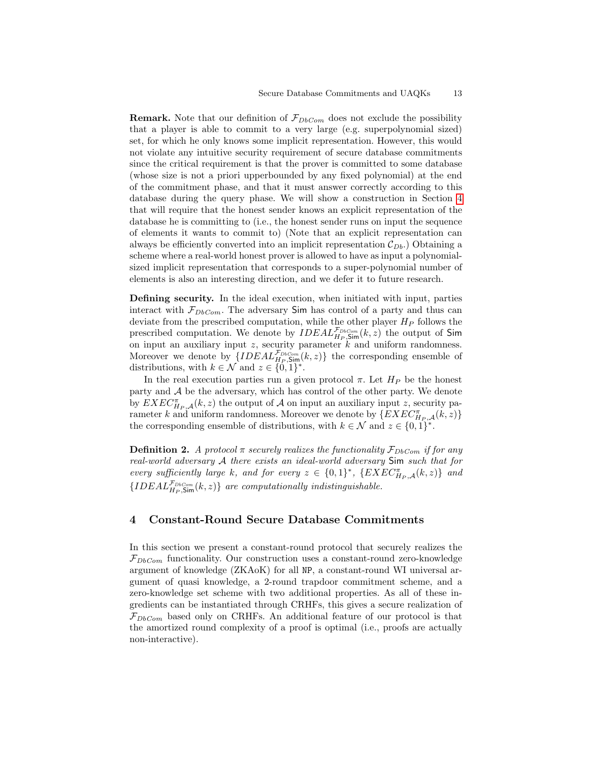**Remark.** Note that our definition of  $\mathcal{F}_{DbCom}$  does not exclude the possibility that a player is able to commit to a very large (e.g. superpolynomial sized) set, for which he only knows some implicit representation. However, this would not violate any intuitive security requirement of secure database commitments since the critical requirement is that the prover is committed to some database (whose size is not a priori upperbounded by any fixed polynomial) at the end of the commitment phase, and that it must answer correctly according to this database during the query phase. We will show a construction in Section [4](#page-12-0) that will require that the honest sender knows an explicit representation of the database he is committing to (i.e., the honest sender runs on input the sequence of elements it wants to commit to) (Note that an explicit representation can always be efficiently converted into an implicit representation  $\mathcal{C}_{Db}$ .) Obtaining a scheme where a real-world honest prover is allowed to have as input a polynomialsized implicit representation that corresponds to a super-polynomial number of elements is also an interesting direction, and we defer it to future research.

Defining security. In the ideal execution, when initiated with input, parties interact with  $\mathcal{F}_{DbCom}$ . The adversary Sim has control of a party and thus can deviate from the prescribed computation, while the other player  $H_P$  follows the prescribed computation. We denote by  $IDEAL_{H_P, \textsf{Sim}}^{\mathcal{F}_{DbCom}}(k, z)$  the output of Sim on input an auxiliary input  $z$ , security parameter  $k$  and uniform randomness. Moreover we denote by  $\{IDEAL_{HP,\text{Sim}}^{\mathcal{F}_{DbCom}}(k,z)\}$  the corresponding ensemble of distributions, with  $k \in \mathcal{N}$  and  $z \in \{0,1\}^*$ .

In the real execution parties run a given protocol  $\pi$ . Let  $H_P$  be the honest party and A be the adversary, which has control of the other party. We denote by  $EXEC^{\pi}_{H_P, \mathcal{A}}(k, z)$  the output of  $\mathcal A$  on input an auxiliary input z, security parameter k and uniform randomness. Moreover we denote by  $\{EXEC^{\pi}_{H_P,\mathcal{A}}(k,z)\}$ the corresponding ensemble of distributions, with  $k \in \mathcal{N}$  and  $z \in \{0, 1\}^*$ .

**Definition 2.** A protocol  $\pi$  securely realizes the functionality  $\mathcal{F}_{DbCom}$  if for any real-world adversary A there exists an ideal-world adversary Sim such that for every sufficiently large k, and for every  $z \in \{0,1\}^*$ ,  $\{EXEC^{\pi}_{H_P,A}(k,z)\}$  and  $\{IDEAL_{HP,\textsf{Sim}}^{\mathcal{F}_{DbCom}}(k,z)\}\,$  are computationally indistinguishable.

## <span id="page-12-0"></span>4 Constant-Round Secure Database Commitments

In this section we present a constant-round protocol that securely realizes the  $\mathcal{F}_{DbCom}$  functionality. Our construction uses a constant-round zero-knowledge argument of knowledge (ZKAoK) for all NP, a constant-round WI universal argument of quasi knowledge, a 2-round trapdoor commitment scheme, and a zero-knowledge set scheme with two additional properties. As all of these ingredients can be instantiated through CRHFs, this gives a secure realization of  $\mathcal{F}_{DbCom}$  based only on CRHFs. An additional feature of our protocol is that the amortized round complexity of a proof is optimal (i.e., proofs are actually non-interactive).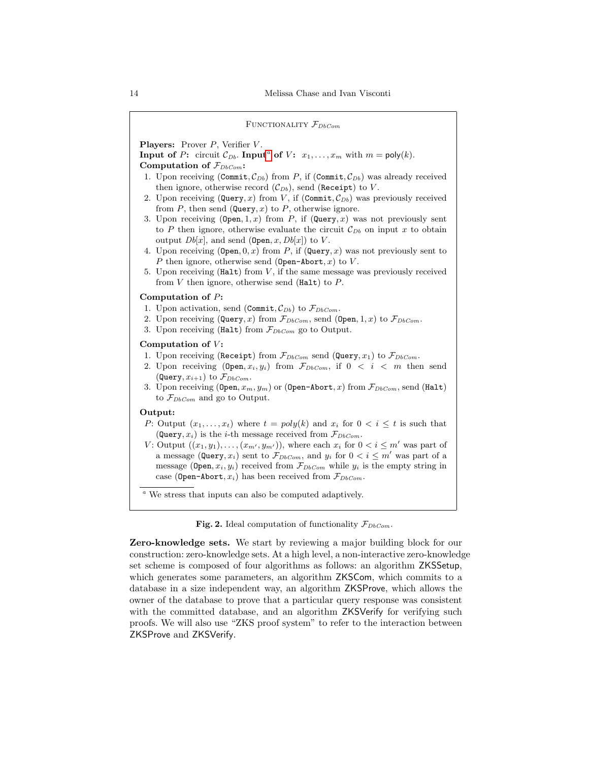#### FUNCTIONALITY  $\mathcal{F}_{DbCom}$

#### **Players:** Prover  $P$ , Verifier  $V$ .

**Input of P:** circuit  $\mathcal{C}_{Db}$  $\mathcal{C}_{Db}$  $\mathcal{C}_{Db}$ . **Input**<sup>a</sup> of  $V: x_1, \ldots, x_m$  with  $m = \text{poly}(k)$ . Computation of  $\mathcal{F}_{DbCom}$ :

- 1. Upon receiving (Commit,  $\mathcal{C}_{Db}$ ) from P, if (Commit,  $\mathcal{C}_{Db}$ ) was already received then ignore, otherwise record  $(\mathcal{C}_{Db})$ , send (Receipt) to V.
- 2. Upon receiving (Query, x) from V, if (Commit,  $\mathcal{C}_{Db}$ ) was previously received from  $P$ , then send (Query, x) to  $P$ , otherwise ignore.
- 3. Upon receiving  $(\text{Open}, 1, x)$  from P, if  $(\text{Query}, x)$  was not previously sent to P then ignore, otherwise evaluate the circuit  $\mathcal{C}_{Db}$  on input x to obtain output  $Db[x]$ , and send (Open, x,  $Db[x]$ ) to V.
- 4. Upon receiving  $(\text{Open}, 0, x)$  from P, if  $(\text{Query}, x)$  was not previously sent to P then ignore, otherwise send (Open-Abort, x) to  $V$ .
- 5. Upon receiving  $(Halt)$  from  $V$ , if the same message was previously received from  $V$  then ignore, otherwise send (Halt) to  $P$ .

#### Computation of P:

- 1. Upon activation, send (Commit,  $\mathcal{C}_{Db}$ ) to  $\mathcal{F}_{DbCom}$ .
- 2. Upon receiving (Query, x) from  $\mathcal{F}_{DbCom}$ , send (Open, 1, x) to  $\mathcal{F}_{DbCom}$ .
- 3. Upon receiving (Halt) from  $\mathcal{F}_{DbCom}$  go to Output.

#### Computation of  $V$ :

- 1. Upon receiving (Receipt) from  $\mathcal{F}_{DbCom}$  send (Query,  $x_1$ ) to  $\mathcal{F}_{DbCom}$ .
- 2. Upon receiving (Open,  $x_i, y_i$ ) from  $\mathcal{F}_{DbCom}$ , if  $0 \lt i \lt m$  then send (Query,  $x_{i+1}$ ) to  $\mathcal{F}_{DbCom}$ .
- 3. Upon receiving (Open,  $x_m, y_m$ ) or (Open-Abort, x) from  $\mathcal{F}_{DbCom}$ , send (Halt) to  $\mathcal{F}_{DbCom}$  and go to Output.

#### Output:

- P: Output  $(x_1, \ldots, x_t)$  where  $t = poly(k)$  and  $x_i$  for  $0 \lt i \leq t$  is such that (Query,  $x_i$ ) is the *i*-th message received from  $\mathcal{F}_{DbCom}$ .
- V: Output  $((x_1, y_1), \ldots, (x_{m'}, y_{m'}))$ , where each  $x_i$  for  $0 < i \leq m'$  was part of a message (Query,  $x_i$ ) sent to  $\mathcal{F}_{DbCom}$ , and  $y_i$  for  $0 < i \leq m'$  was part of a message (Open,  $x_i, y_i$ ) received from  $\mathcal{F}_{DbCom}$  while  $y_i$  is the empty string in case (Open-Abort,  $x_i$ ) has been received from  $\mathcal{F}_{DbCom}$ .

<span id="page-13-1"></span><sup>a</sup> We stress that inputs can also be computed adaptively.

<span id="page-13-0"></span>Fig. 2. Ideal computation of functionality  $\mathcal{F}_{DbCom}$ .

Zero-knowledge sets. We start by reviewing a major building block for our construction: zero-knowledge sets. At a high level, a non-interactive zero-knowledge set scheme is composed of four algorithms as follows: an algorithm ZKSSetup, which generates some parameters, an algorithm **ZKSCom**, which commits to a database in a size independent way, an algorithm ZKSProve, which allows the owner of the database to prove that a particular query response was consistent with the committed database, and an algorithm **ZKSVerify** for verifying such proofs. We will also use "ZKS proof system" to refer to the interaction between ZKSProve and ZKSVerify.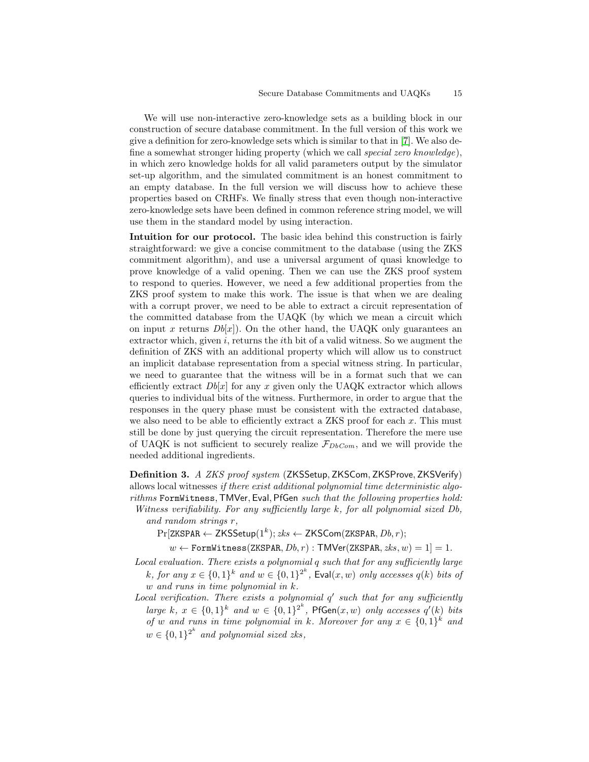We will use non-interactive zero-knowledge sets as a building block in our construction of secure database commitment. In the full version of this work we give a definition for zero-knowledge sets which is similar to that in [\[7\]](#page-17-5). We also define a somewhat stronger hiding property (which we call special zero knowledge), in which zero knowledge holds for all valid parameters output by the simulator set-up algorithm, and the simulated commitment is an honest commitment to an empty database. In the full version we will discuss how to achieve these properties based on CRHFs. We finally stress that even though non-interactive zero-knowledge sets have been defined in common reference string model, we will use them in the standard model by using interaction.

Intuition for our protocol. The basic idea behind this construction is fairly straightforward: we give a concise commitment to the database (using the ZKS commitment algorithm), and use a universal argument of quasi knowledge to prove knowledge of a valid opening. Then we can use the ZKS proof system to respond to queries. However, we need a few additional properties from the ZKS proof system to make this work. The issue is that when we are dealing with a corrupt prover, we need to be able to extract a circuit representation of the committed database from the UAQK (by which we mean a circuit which on input x returns  $Db[x]$ . On the other hand, the UAQK only guarantees an extractor which, given  $i$ , returns the *i*th bit of a valid witness. So we augment the definition of ZKS with an additional property which will allow us to construct an implicit database representation from a special witness string. In particular, we need to guarantee that the witness will be in a format such that we can efficiently extract  $Db[x]$  for any x given only the UAQK extractor which allows queries to individual bits of the witness. Furthermore, in order to argue that the responses in the query phase must be consistent with the extracted database, we also need to be able to efficiently extract a  $ZKS$  proof for each x. This must still be done by just querying the circuit representation. Therefore the mere use of UAQK is not sufficient to securely realize  $\mathcal{F}_{DbCom}$ , and we will provide the needed additional ingredients.

<span id="page-14-0"></span>Definition 3. A ZKS proof system (ZKSSetup, ZKSCom, ZKSProve, ZKSVerify) allows local witnesses if there exist additional polynomial time deterministic algorithms FormWitness,TMVer, Eval, PfGen such that the following properties hold: Witness verifiability. For any sufficiently large k, for all polynomial sized Db, and random strings r,

 $\Pr[\text{ZKSPAR} \leftarrow \textsf{ZKSSetup}(1^k); zks \leftarrow \textsf{ZKSCom}(\textsf{ZKSPAR}, \textit{Db}, \textit{r});$ 

 $w \leftarrow$  FormWitness(ZKSPAR,  $Db, r$ ): TMVer(ZKSPAR,  $zks, w$ ) = 1] = 1.

Local evaluation. There exists a polynomial q such that for any sufficiently large k, for any  $x \in \{0,1\}^k$  and  $w \in \{0,1\}^{2^k}$ , Eval $(x, w)$  only accesses  $q(k)$  bits of w and runs in time polynomial in k.

Local verification. There exists a polynomial  $q'$  such that for any sufficiently large k,  $x \in \{0,1\}^k$  and  $w \in \{0,1\}^{2^k}$ , PfGen $(x, w)$  only accesses  $q'(k)$  bits of w and runs in time polynomial in k. Moreover for any  $x \in \{0,1\}^k$  and  $w \in \{0,1\}^{2^k}$  and polynomial sized zks,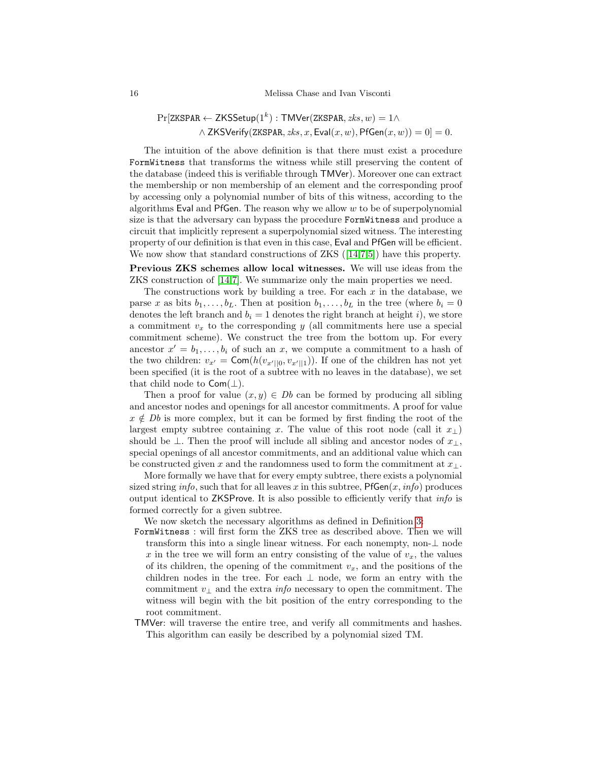$$
\Pr[\text{ZKSPAR} \leftarrow \text{ZKSSetup}(1^k) : \text{TMVer}(\text{ZKSPAR}, \text{zks}, w) = 1 \land \land \text{ZKSVerify}(\text{ZKSPAR}, \text{zks}, x, \text{Eval}(x, w), \text{PfGen}(x, w)) = 0] = 0.
$$

The intuition of the above definition is that there must exist a procedure FormWitness that transforms the witness while still preserving the content of the database (indeed this is verifiable through TMVer). Moreover one can extract the membership or non membership of an element and the corresponding proof by accessing only a polynomial number of bits of this witness, according to the algorithms Eval and PfGen. The reason why we allow  $w$  to be of superpolynomial size is that the adversary can bypass the procedure FormWitness and produce a circuit that implicitly represent a superpolynomial sized witness. The interesting property of our definition is that even in this case, Eval and PfGen will be efficient. We now show that standard constructions of ZKS ([\[14,](#page-17-0)[7,](#page-17-5)[5\]](#page-17-6)) have this property.

Previous ZKS schemes allow local witnesses. We will use ideas from the ZKS construction of [\[14,](#page-17-0)[7\]](#page-17-5). We summarize only the main properties we need.

The constructions work by building a tree. For each  $x$  in the database, we parse x as bits  $b_1, \ldots, b_L$ . Then at position  $b_1, \ldots, b_L$  in the tree (where  $b_i = 0$ denotes the left branch and  $b_i = 1$  denotes the right branch at height i), we store a commitment  $v_x$  to the corresponding y (all commitments here use a special commitment scheme). We construct the tree from the bottom up. For every ancestor  $x' = b_1, \ldots, b_i$  of such an x, we compute a commitment to a hash of the two children:  $v_{x'} = \text{Com}(h(v_{x'||0}, v_{x'||1}))$ . If one of the children has not yet been specified (it is the root of a subtree with no leaves in the database), we set that child node to  $\mathsf{Com}(\perp)$ .

Then a proof for value  $(x, y) \in Db$  can be formed by producing all sibling and ancestor nodes and openings for all ancestor commitments. A proof for value  $x \notin Db$  is more complex, but it can be formed by first finding the root of the largest empty subtree containing x. The value of this root node (call it  $x_{\perp}$ ) should be ⊥. Then the proof will include all sibling and ancestor nodes of  $x_{\perp}$ , special openings of all ancestor commitments, and an additional value which can be constructed given x and the randomness used to form the commitment at  $x_{\perp}$ .

More formally we have that for every empty subtree, there exists a polynomial sized string info, such that for all leaves x in this subtree,  $PfGen(x, info)$  produces output identical to ZKSProve. It is also possible to efficiently verify that info is formed correctly for a given subtree.

We now sketch the necessary algorithms as defined in Definition [3:](#page-14-0)

- FormWitness : will first form the ZKS tree as described above. Then we will transform this into a single linear witness. For each nonempty, non-⊥ node x in the tree we will form an entry consisting of the value of  $v_x$ , the values of its children, the opening of the commitment  $v_x$ , and the positions of the children nodes in the tree. For each  $\perp$  node, we form an entry with the commitment  $v_{\perp}$  and the extra *info* necessary to open the commitment. The witness will begin with the bit position of the entry corresponding to the root commitment.
- TMVer: will traverse the entire tree, and verify all commitments and hashes. This algorithm can easily be described by a polynomial sized TM.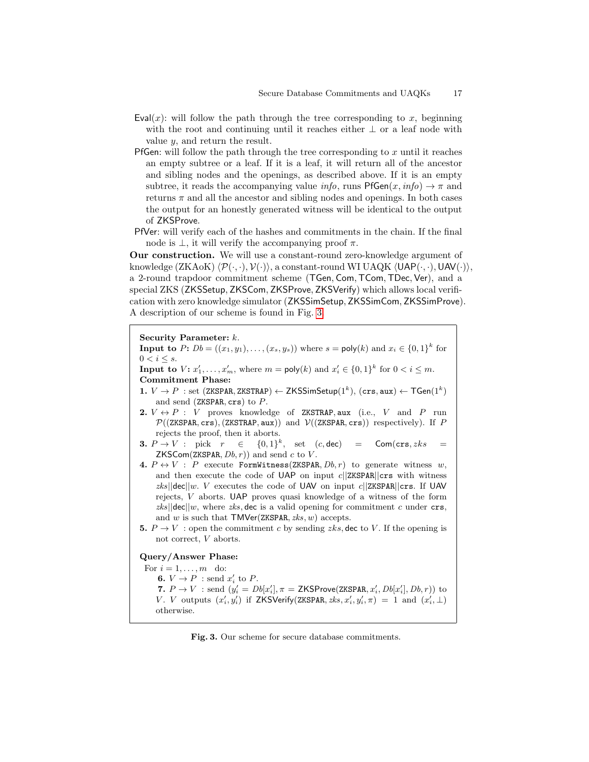- $Eval(x)$ : will follow the path through the tree corresponding to x, beginning with the root and continuing until it reaches either  $\perp$  or a leaf node with value y, and return the result.
- **PfGen:** will follow the path through the tree corresponding to  $x$  until it reaches an empty subtree or a leaf. If it is a leaf, it will return all of the ancestor and sibling nodes and the openings, as described above. If it is an empty subtree, it reads the accompanying value  $info$ , runs PfGen $(x, info) \rightarrow \pi$  and returns  $\pi$  and all the ancestor and sibling nodes and openings. In both cases the output for an honestly generated witness will be identical to the output of ZKSProve.
- PfVer: will verify each of the hashes and commitments in the chain. If the final node is  $\bot$ , it will verify the accompanying proof  $\pi$ .

Our construction. We will use a constant-round zero-knowledge argument of knowledge (ZKAoK)  $\langle \mathcal{P}(\cdot, \cdot), \mathcal{V}(\cdot) \rangle$ , a constant-round WI UAQK  $\langle \mathsf{UAP}(\cdot, \cdot), \mathsf{UAV}(\cdot) \rangle$ , a 2-round trapdoor commitment scheme (TGen, Com,TCom,TDec, Ver), and a special ZKS (ZKSSetup, ZKSCom, ZKSProve, ZKSVerify) which allows local verification with zero knowledge simulator (ZKSSimSetup, ZKSSimCom, ZKSSimProve). A description of our scheme is found in Fig. [3.](#page-16-0)

Security Parameter: k. **Input to**  $P: Db = ((x_1, y_1), \ldots, (x_s, y_s))$  where  $s = poly(k)$  and  $x_i \in \{0, 1\}^k$  for  $0 < i \leq s$ . **Input to**  $V: x'_1, \ldots, x'_m$ , where  $m = \text{poly}(k)$  and  $x'_i \in \{0,1\}^k$  for  $0 < i \leq m$ . Commitment Phase:  $\texttt{1.}\ V\to P\ :\ \text{set}\ (\texttt{ZKSPAR},\texttt{ZKSTRAP})\leftarrow \textsf{ZKSSimSetup}(1^{k}),\ (\texttt{crs},\texttt{aux})\leftarrow \textsf{TGen}(1^{k})$ and send (ZKSPAR, crs) to P. 2.  $V \leftrightarrow P$  : V proves knowledge of ZKSTRAP, aux (i.e., V and P run  $\mathcal{P}((\text{ZKSPAR}, \text{crs}), (\text{ZKSTRAP}, \text{aux}))$  and  $\mathcal{V}((\text{ZKSPAR}, \text{crs}))$  respectively). If P rejects the proof, then it aborts. 3.  $P \rightarrow V$  : pick  $r \in$  $k,$  set  $(c, dec)$  =  $Com(crs, zks$  = ZKSCom(ZKSPAR,  $Db, r$ ) and send c to V. 4.  $P \leftrightarrow V$ : P execute FormWitness(ZKSPAR,  $Db, r$ ) to generate witness w, and then execute the code of  $UAP$  on input c  $||ZKSPAR||crs$  with witness  $zks||\text{dec}||w.$  V executes the code of UAV on input c||ZKSPAR||crs. If UAV rejects, V aborts. UAP proves quasi knowledge of a witness of the form  $zks||\text{dec}||w$ , where  $zks$ , dec is a valid opening for commitment c under crs, and w is such that  $TMVer(ZKSPAR, zks, w)$  accepts. **5.**  $P \rightarrow V$  : open the commitment c by sending zks, dec to V. If the opening is not correct, V aborts. Query/Answer Phase: For  $i = 1, \ldots, m$  do: **6.**  $V \to P$  : send  $x'_i$  to P. 7.  $P \rightarrow V$  : send  $(y'_i = Db[x'_i], \pi = \textsf{ZKSProve}(\textsf{ZKSPAR}, x'_i, Db[x'_i], Db, r))$  to V. V outputs  $(x'_i, y'_i)$  if ZKSVerify(ZKSPAR,  $zks, x'_i, y'_i, \pi$ ) = 1 and  $(x'_i, \perp)$ 

otherwise.

<span id="page-16-0"></span>Fig. 3. Our scheme for secure database commitments.